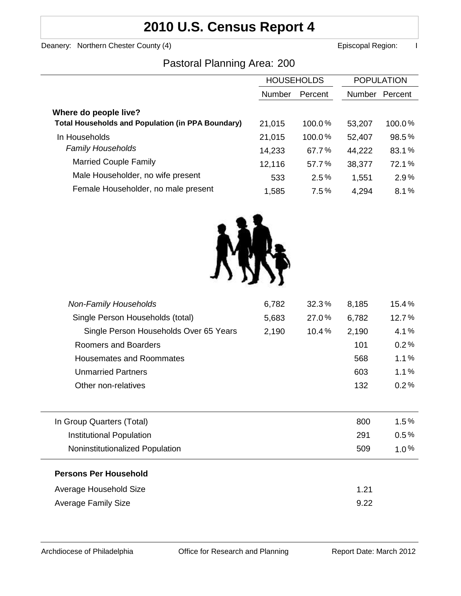## **2010 U.S. Census Report 4**

Deanery: Northern Chester County (4) **Example 2** Episcopal Region: I

### Pastoral Planning Area: 200

|                                                          | <b>HOUSEHOLDS</b> |           | <b>POPULATION</b> |         |
|----------------------------------------------------------|-------------------|-----------|-------------------|---------|
|                                                          | <b>Number</b>     | Percent   | <b>Number</b>     | Percent |
| Where do people live?                                    |                   |           |                   |         |
| <b>Total Households and Population (in PPA Boundary)</b> | 21,015            | $100.0\%$ | 53,207            | 100.0%  |
| In Households                                            | 21,015            | $100.0\%$ | 52,407            | 98.5%   |
| <b>Family Households</b>                                 | 14,233            | 67.7%     | 44,222            | 83.1%   |
| <b>Married Couple Family</b>                             | 12,116            | 57.7%     | 38,377            | 72.1%   |
| Male Householder, no wife present                        | 533               | 2.5%      | 1,551             | 2.9%    |
| Female Householder, no male present                      | 1,585             | 7.5%      | 4,294             | 8.1%    |



| <b>Non-Family Households</b>           | 6,782 | 32.3% | 8,185 | 15.4%   |
|----------------------------------------|-------|-------|-------|---------|
| Single Person Households (total)       | 5,683 | 27.0% | 6,782 | 12.7%   |
| Single Person Households Over 65 Years | 2,190 | 10.4% | 2,190 | 4.1%    |
| Roomers and Boarders                   |       |       | 101   | 0.2%    |
| <b>Housemates and Roommates</b>        |       |       | 568   | 1.1%    |
| <b>Unmarried Partners</b>              |       |       | 603   | 1.1%    |
| Other non-relatives                    |       |       | 132   | 0.2%    |
|                                        |       |       |       |         |
| In Group Quarters (Total)              |       |       | 800   | 1.5%    |
| Institutional Population               |       |       | 291   | 0.5%    |
| Noninstitutionalized Population        |       |       | 509   | $1.0\%$ |
| <b>Persons Per Household</b>           |       |       |       |         |
| Average Household Size                 |       |       | 1.21  |         |
| Average Family Size                    |       |       | 9.22  |         |
|                                        |       |       |       |         |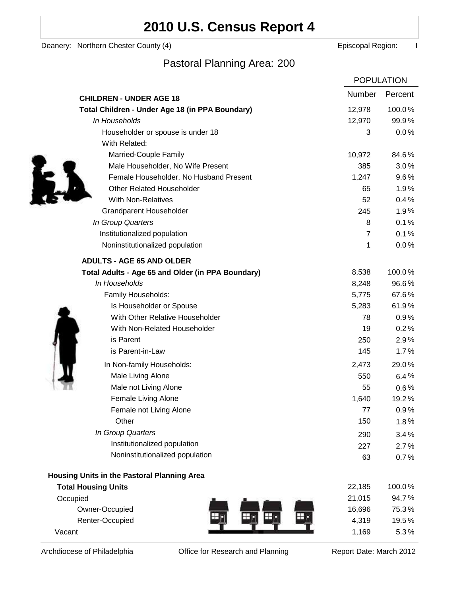# **2010 U.S. Census Report 4**

Deanery: Northern Chester County (4) **Example 2** Episcopal Region: I

Ì

## Pastoral Planning Area: 200

|                                                   |                | <b>POPULATION</b> |
|---------------------------------------------------|----------------|-------------------|
| <b>CHILDREN - UNDER AGE 18</b>                    | <b>Number</b>  | Percent           |
| Total Children - Under Age 18 (in PPA Boundary)   | 12,978         | 100.0%            |
| In Households                                     | 12,970         | 99.9%             |
| Householder or spouse is under 18                 | 3              | 0.0%              |
| With Related:                                     |                |                   |
| Married-Couple Family                             | 10,972         | 84.6%             |
| Male Householder, No Wife Present                 | 385            | 3.0%              |
| Female Householder, No Husband Present            | 1,247          | $9.6\%$           |
| <b>Other Related Householder</b>                  | 65             | 1.9%              |
| <b>With Non-Relatives</b>                         | 52             | 0.4%              |
| <b>Grandparent Householder</b>                    | 245            | 1.9%              |
| In Group Quarters                                 | 8              | 0.1%              |
| Institutionalized population                      | $\overline{7}$ | 0.1%              |
| Noninstitutionalized population                   | 1              | 0.0%              |
| <b>ADULTS - AGE 65 AND OLDER</b>                  |                |                   |
| Total Adults - Age 65 and Older (in PPA Boundary) | 8,538          | 100.0%            |
| In Households                                     | 8,248          | 96.6%             |
| Family Households:                                | 5,775          | 67.6%             |
| Is Householder or Spouse                          | 5,283          | 61.9%             |
| With Other Relative Householder                   | 78             | 0.9%              |
| With Non-Related Householder                      | 19             | 0.2%              |
| is Parent                                         | 250            | 2.9%              |
| is Parent-in-Law                                  | 145            | 1.7%              |
| In Non-family Households:                         | 2,473          | 29.0%             |
| Male Living Alone                                 | 550            | 6.4%              |
| Male not Living Alone                             | 55             | $0.6\%$           |
| Female Living Alone                               | 1,640          | 19.2%             |
| Female not Living Alone                           | 77             | 0.9%              |
| Other                                             | 150            | 1.8%              |
| In Group Quarters                                 | 290            | 3.4%              |
| Institutionalized population                      | 227            | 2.7%              |
| Noninstitutionalized population                   | 63             | 0.7%              |
| Housing Units in the Pastoral Planning Area       |                |                   |
| <b>Total Housing Units</b>                        | 22,185         | 100.0%            |
| Occupied                                          | 21,015         | 94.7%             |
| Owner-Occupied                                    | 16,696         | 75.3%             |
| Renter-Occupied                                   | 4,319          | 19.5%             |
| Vacant                                            | 1,169          | 5.3%              |

Archdiocese of Philadelphia **Office for Research and Planning** Report Date: March 2012